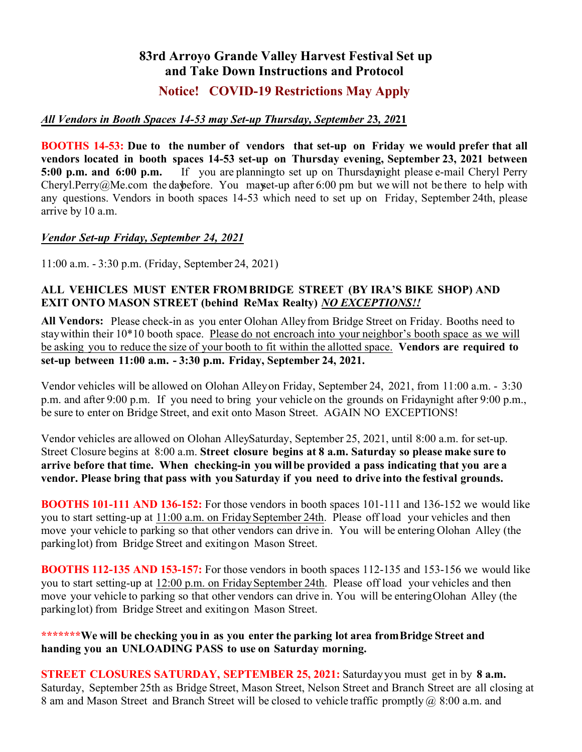# **83rd Arroyo Grande Valley Harvest Festival Set up and Take Down Instructions and Protocol**

## **Notice! COVID-19 Restrictions May Apply**

### *All Vendors in Booth Spaces 14-53 may Set-up Thursday, September 2***3***, 20***21**

**BOOTHS 14-53: Due to the number of vendors that set-up on Friday we would prefer that all vendors located in booth spaces 14-53 set-up on Thursday evening, September 23, 2021 between 5:00 p.m. and 6:00 p.m.** If you are planning to set up on Thursday night please e-mail Cheryl Perry Cheryl.Perry@Me.com the day before. You may set-up after 6:00 pm but we will not be there to help with any questions. Vendors in booth spaces 14-53 which need to set up on Friday, September 24th, please arrive by 10 a.m.

#### *Vendor Set-up Friday, September 24, 2021*

11:00 a.m. - 3:30 p.m. (Friday, September 24, 2021)

#### **ALL VEHICLES MUST ENTER FROMBRIDGE STREET (BY IRA'S BIKE SHOP) AND EXIT ONTO MASON STREET (behind ReMax Realty)** *NO EXCEPTIONS!!*

**All Vendors:** Please check-in as you enter Olohan Alley from Bridge Street on Friday. Booths need to stay within their 10\*10 booth space. Please do not encroach into your neighbor's booth space as we will be asking you to reduce the size of your booth to fit within the allotted space. **Vendors are required to set-up between 11:00 a.m. - 3:30 p.m. Friday, September 24, 2021.**

Vendor vehicles will be allowed on Olohan Alley on Friday, September 24, 2021, from 11:00 a.m. - 3:30 p.m. and after 9:00 p.m. If you need to bring your vehicle on the grounds on Fridaynight after 9:00 p.m., be sure to enter on Bridge Street, and exit onto Mason Street. AGAIN NO EXCEPTIONS!

Vendor vehicles are allowed on Olohan AlleySaturday, September 25, 2021, until 8:00 a.m. for set-up. Street Closure begins at 8:00 a.m. **Street closure begins at 8 a.m. Saturday so please make sure to arrive before that time. When checking-in you will be provided a pass indicating that you are a vendor. Please bring that pass with you Saturday if you need to drive into the festival grounds.** 

**BOOTHS 101-111 AND 136-152:** For those vendors in booth spaces 101-111 and 136-152 we would like you to start setting-up at 11:00 a.m. on Friday September 24th. Please off load your vehicles and then move your vehicle to parking so that other vendors can drive in. You will be entering Olohan Alley (the parking lot) from Bridge Street and exiting on Mason Street.

**BOOTHS 112-135 AND 153-157:** For those vendors in booth spaces 112-135 and 153-156 we would like you to start setting-up at 12:00 p.m. on Friday September 24th. Please off load your vehicles and then move your vehicle to parking so that other vendors can drive in. You will be entering Olohan Alley (the parking lot) from Bridge Street and exiting on Mason Street.

#### **\*\*\*\*\*\*\*We will be checking you in as you enter the parking lot area from Bridge Street and handing you an UNLOADING PASS to use on Saturday morning.**

**STREET CLOSURES SATURDAY, SEPTEMBER 25, 2021:** Saturday you must get in by **8 a.m.** Saturday, September 25th as Bridge Street, Mason Street, Nelson Street and Branch Street are all closing at 8 am and Mason Street and Branch Street will be closed to vehicle traffic promptly @ 8:00 a.m. and